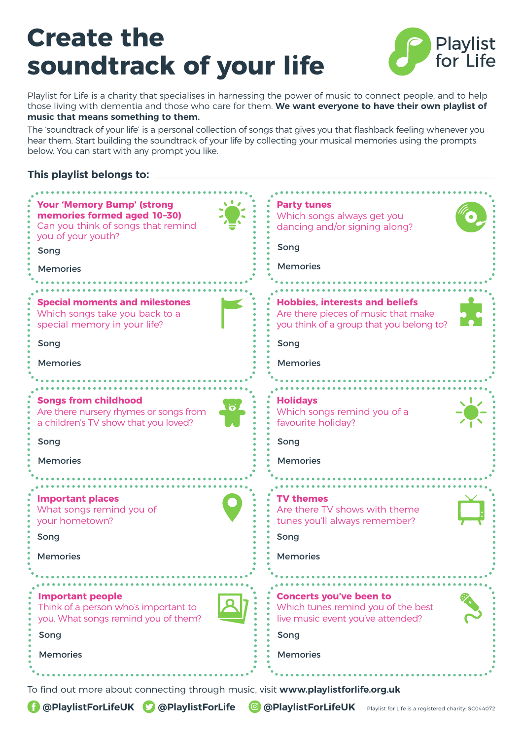## **Create the soundtrack of your life**



Playlist for Life is a charity that specialises in harnessing the power of music to connect people, and to help those living with dementia and those who care for them. **We want everyone to have their own playlist of music that means something to them.** 

The 'soundtrack of your life' is a personal collection of songs that gives you that flashback feeling whenever you hear them. Start building the soundtrack of your life by collecting your musical memories using the prompts below. You can start with any prompt you like.

## **This playlist belongs to:**



To find out more about connecting through music, visit **www.playlistforlife.org.uk**

**@PlaylistForLifeUK © @PlaylistForLife © @PlaylistForLifeUK** Playlist for Life is a registered charity: SC044072